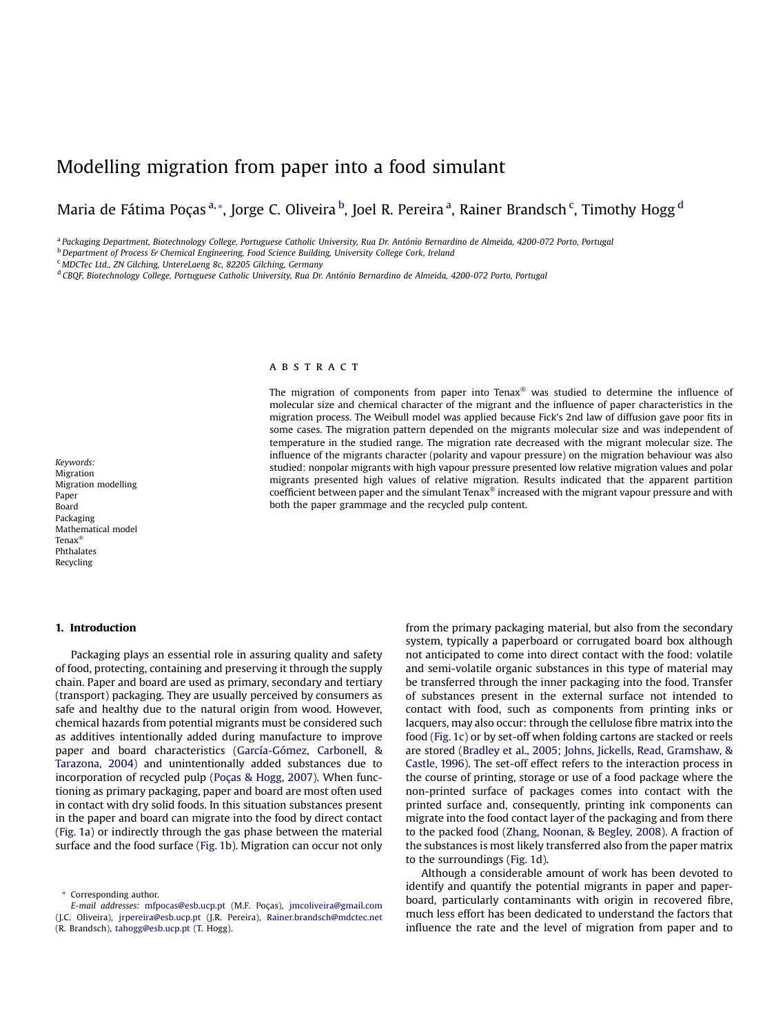# Modelling migration from paper i[nto a food simulant](http://www.elsevier.com/locate/foodcont)

Maria de Fátima Poças <sup>a, «</sup>, Jorge C. Oliveira <sup>b</sup>, Joel R. Pereira <sup>a</sup>, Rainer Brandsch <sup>c</sup>, Timothy Hogg <sup>d</sup>

a Packaging Department, Biotechnology College, Portuguese Catholic University, Rua Dr. António Bernardino de Almeida, 4200-072 Porto, Portugal

b<br> **b** Denartment of Process & Chemical Engineering, Food Science Building, University College Cork, Ireland

<sup>c</sup> MDCTec Ltd., ZN Gilching, UntereLaeng 8c, 82205 Gilching, Germany

<sup>d</sup> CBQF, Biotechnology College, Portuguese Catholic University, Rua Dr. António Bernardino de Almeida, 4200-072 Porto, Portugal

#### ABSTRACT

The migration of components from paper into Tenax<sup>®</sup> was studied to determine the influence of molecular size and chemical character of the migrant and the influence of paper characteristics in the migration process. The Weibull model was applied because Fick's 2nd law of diffusion gave poor fits in some cases. The migration pattern depended on the migrants molecular size and was independent of temperature in the studied range. The migration rate decreased with the migrant molecular size. The influence of the migrants character (polarity and vapour pressure) on the migration behaviour was also studied: nonpolar migrants with high vapour pressure presented low relative migration values and polar migrants presented high values of relative migration. Results indicated that the apparent partition coefficient between paper and the simulant Tenax® increased with the migrant vapour pressure and with both the paper grammage and the recycled pulp content.

Keywords: Migration Migration modelling Paper Board Packaging Mathematical model Tenax Phthalates Recycling

#### 1. Introduction

Packaging plays an essential role in assuring quality and safety of food, protecting, containing and preserving it through the supply chain. Paper and board are used as primary, secondary and tertiary (transport) packaging. They are usually perceived by consumers as safe and healthy due to the natural origin from wood. However, chemical hazards from potential migrants must be considered such as additives intentionally added during manufacture to improve paper and board characteristics [\(García-Gómez, Carbonell, &](#page-9-0) [Tarazona, 2004\)](#page-9-0) and unintentionally added substances due to incorporation of recycled pulp [\(Poças & Hogg, 2007](#page-9-0)). When functioning as primary packaging, paper and board are most often used in contact with dry solid foods. In this situation substances present in the paper and board can migrate into the food by direct contact ([Fig. 1](#page-1-0)a) or indirectly through the gas phase between the material surface and the food surface ([Fig. 1](#page-1-0)b). Migration can occur not only from the primary packaging material, but also from the secondary system, typically a paperboard or corrugated board box although not anticipated to come into direct contact with the food: volatile and semi-volatile organic substances in this type of material may be transferred through the inner packaging into the food. Transfer of substances present in the external surface not intended to contact with food, such as components from printing inks or lacquers, may also occur: through the cellulose fibre matrix into the food [\(Fig. 1c](#page-1-0)) or by set-off when folding cartons are stacked or reels are stored [\(Bradley et al., 2005; Johns, Jickells, Read, Gramshaw, &](#page-9-0) [Castle, 1996](#page-9-0)). The set-off effect refers to the interaction process in the course of printing, storage or use of a food package where the non-printed surface of packages comes into contact with the printed surface and, consequently, printing ink components can migrate into the food contact layer of the packaging and from there to the packed food ([Zhang, Noonan, & Begley, 2008\)](#page-9-0). A fraction of the substances is most likely transferred also from the paper matrix to the surroundings ([Fig. 1d](#page-1-0)).

Although a considerable amount of work has been devoted to identify and quantify the potential migrants in paper and paperboard, particularly contaminants with origin in recovered fibre, much less effort has been dedicated to understand the factors that influence the rate and the level of migration from paper and to

Corresponding author.

E-mail addresses: [mfpocas@esb.ucp.pt](mailto:mfpocas@esb.ucp.pt) (M.F. Poças), [jmcoliveira@gmail.com](mailto:jmcoliveira@gmail.com) [\(](mailto:jmcoliveira@gmail.com)J.C. Oliveira), [jrpereira@esb.ucp.pt](mailto:jrpereira@esb.ucp.pt) (J.R. Pereira), [Rainer.brandsch@mdctec.net](mailto:Rainer.brandsch@mdctec.net) (R. Brandsch), [tahogg@esb.ucp.pt](mailto:tahogg@esb.ucp.pt) (T. Hogg).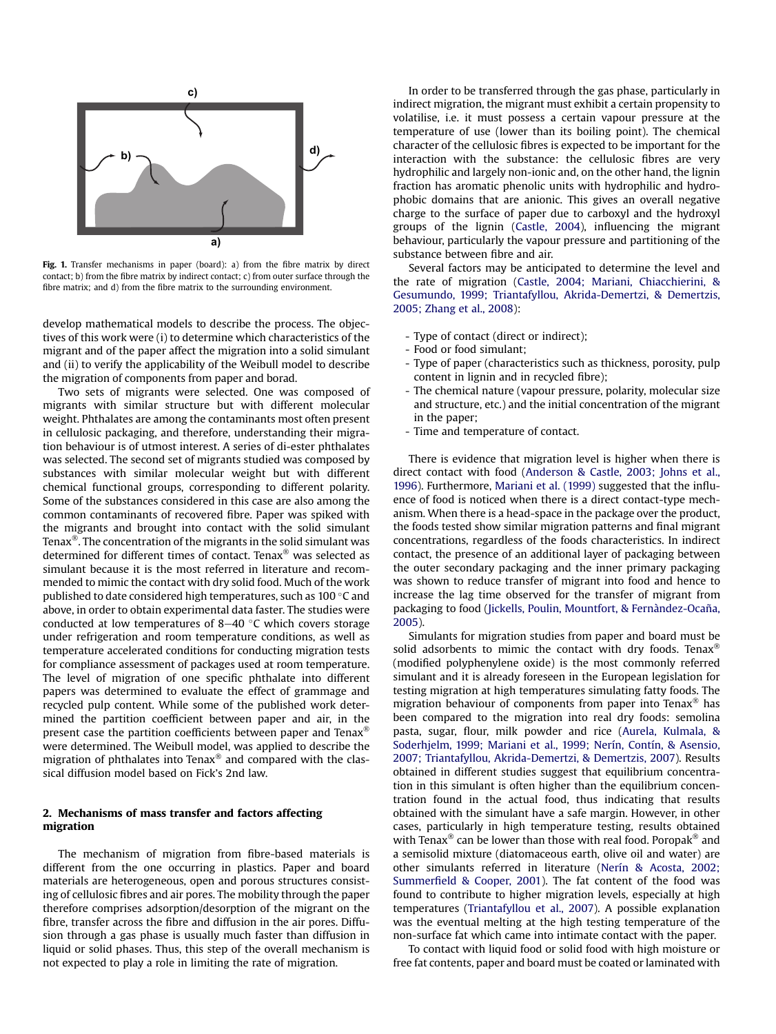<span id="page-1-0"></span>

Fig. 1. Transfer mechanisms in paper (board): a) from the fibre matrix by direct contact; b) from the fibre matrix by indirect contact; c) from outer surface through the fibre matrix; and d) from the fibre matrix to the surrounding environment.

develop mathematical models to describe the process. The objectives of this work were (i) to determine which characteristics of the migrant and of the paper affect the migration into a solid simulant and (ii) to verify the applicability of the Weibull model to describe the migration of components from paper and borad.

Two sets of migrants were selected. One was composed of migrants with similar structure but with different molecular weight. Phthalates are among the contaminants most often present in cellulosic packaging, and therefore, understanding their migration behaviour is of utmost interest. A series of di-ester phthalates was selected. The second set of migrants studied was composed by substances with similar molecular weight but with different chemical functional groups, corresponding to different polarity. Some of the substances considered in this case are also among the common contaminants of recovered fibre. Paper was spiked with the migrants and brought into contact with the solid simulant Tenax<sup>®</sup>. The concentration of the migrants in the solid simulant was determined for different times of contact. Tenax<sup>®</sup> was selected as simulant because it is the most referred in literature and recommended to mimic the contact with dry solid food. Much of the work published to date considered high temperatures, such as 100 $\degree$ C and above, in order to obtain experimental data faster. The studies were conducted at low temperatures of  $8-40$  °C which covers storage under refrigeration and room temperature conditions, as well as temperature accelerated conditions for conducting migration tests for compliance assessment of packages used at room temperature. The level of migration of one specific phthalate into different papers was determined to evaluate the effect of grammage and recycled pulp content. While some of the published work determined the partition coefficient between paper and air, in the present case the partition coefficients between paper and Tenax<sup>®</sup> were determined. The Weibull model, was applied to describe the migration of phthalates into Tenax $\mathscr P$  and compared with the classical diffusion model based on Fick's 2nd law.

## 2. Mechanisms of mass transfer and factors affecting migration

The mechanism of migration from fibre-based materials is different from the one occurring in plastics. Paper and board materials are heterogeneous, open and porous structures consisting of cellulosic fibres and air pores. The mobility through the paper therefore comprises adsorption/desorption of the migrant on the fibre, transfer across the fibre and diffusion in the air pores. Diffusion through a gas phase is usually much faster than diffusion in liquid or solid phases. Thus, this step of the overall mechanism is not expected to play a role in limiting the rate of migration.

In order to be transferred through the gas phase, particularly in indirect migration, the migrant must exhibit a certain propensity to volatilise, i.e. it must possess a certain vapour pressure at the temperature of use (lower than its boiling point). The chemical character of the cellulosic fibres is expected to be important for the interaction with the substance: the cellulosic fibres are very hydrophilic and largely non-ionic and, on the other hand, the lignin fraction has aromatic phenolic units with hydrophilic and hydrophobic domains that are anionic. This gives an overall negative charge to the surface of paper due to carboxyl and the hydroxyl groups of the lignin ([Castle, 2004](#page-9-0)), influencing the migrant behaviour, particularly the vapour pressure and partitioning of the substance between fibre and air.

Several factors may be anticipated to determine the level and the rate of migration [\(Castle, 2004; Mariani, Chiacchierini, &](#page-9-0) [Gesumundo, 1999; Triantafyllou, Akrida-Demertzi, & Demertzis,](#page-9-0) [2005; Zhang et al., 2008](#page-9-0)):

- Type of contact (direct or indirect);
- Food or food simulant;
- Type of paper (characteristics such as thickness, porosity, pulp content in lignin and in recycled fibre);
- The chemical nature (vapour pressure, polarity, molecular size and structure, etc.) and the initial concentration of the migrant in the paper;
- Time and temperature of contact.

There is evidence that migration level is higher when there is direct contact with food ([Anderson & Castle, 2003; Johns et al.,](#page-9-0) [1996](#page-9-0)). Furthermore, [Mariani et al. \(1999\)](#page-9-0) suggested that the influence of food is noticed when there is a direct contact-type mechanism. When there is a head-space in the package over the product, the foods tested show similar migration patterns and final migrant concentrations, regardless of the foods characteristics. In indirect contact, the presence of an additional layer of packaging between the outer secondary packaging and the inner primary packaging was shown to reduce transfer of migrant into food and hence to increase the lag time observed for the transfer of migrant from packaging to food ([Jickells, Poulin, Mountfort, & Fernàndez-Ocaña,](#page-9-0) [2005](#page-9-0)).

Simulants for migration studies from paper and board must be solid adsorbents to mimic the contact with dry foods. Tenax $^{\circ}$ (modified polyphenylene oxide) is the most commonly referred simulant and it is already foreseen in the European legislation for testing migration at high temperatures simulating fatty foods. The migration behaviour of components from paper into Tenax<sup>®</sup> has been compared to the migration into real dry foods: semolina pasta, sugar, flour, milk powder and rice ([Aurela, Kulmala, &](#page-9-0) [Soderhjelm, 1999; Mariani et al., 1999; Nerín, Contín, & Asensio,](#page-9-0) [2007; Triantafyllou, Akrida-Demertzi, & Demertzis, 2007](#page-9-0)). Results obtained in different studies suggest that equilibrium concentration in this simulant is often higher than the equilibrium concentration found in the actual food, thus indicating that results obtained with the simulant have a safe margin. However, in other cases, particularly in high temperature testing, results obtained with Tenax<sup>®</sup> can be lower than those with real food. Poropak<sup>®</sup> and a semisolid mixture (diatomaceous earth, olive oil and water) are other simulants referred in literature [\(Nerín & Acosta, 2002;](#page-9-0) Summerfi[eld & Cooper, 2001\)](#page-9-0). The fat content of the food was found to contribute to higher migration levels, especially at high temperatures [\(Triantafyllou et al., 2007\)](#page-9-0). A possible explanation was the eventual melting at the high testing temperature of the non-surface fat which came into intimate contact with the paper.

To contact with liquid food or solid food with high moisture or free fat contents, paper and board must be coated or laminated with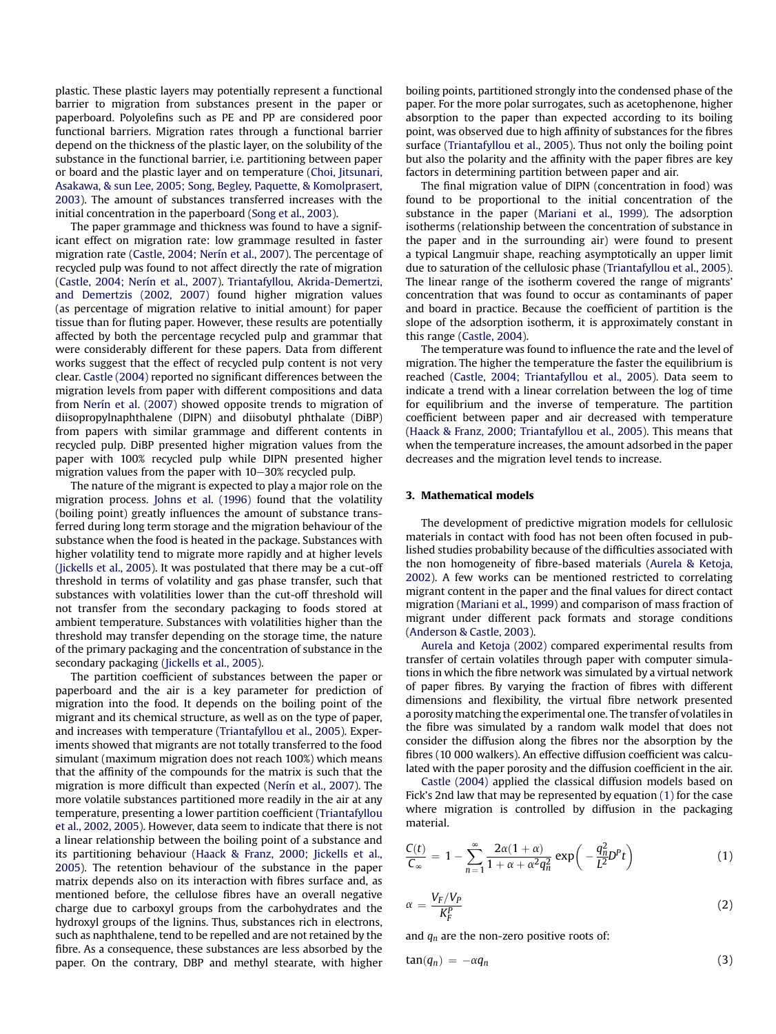<span id="page-2-0"></span>plastic. These plastic layers may potentially represent a functional barrier to migration from substances present in the paper or paperboard. Polyolefins such as PE and PP are considered poor functional barriers. Migration rates through a functional barrier depend on the thickness of the plastic layer, on the solubility of the substance in the functional barrier, i.e. partitioning between paper or board and the plastic layer and on temperature ([Choi, Jitsunari,](#page-9-0) [Asakawa, & sun Lee, 2005; Song, Begley, Paquette, & Komolprasert,](#page-9-0) [2003\)](#page-9-0). The amount of substances transferred increases with the initial concentration in the paperboard [\(Song et al., 2003](#page-9-0)).

The paper grammage and thickness was found to have a significant effect on migration rate: low grammage resulted in faster migration rate [\(Castle, 2004; Nerín et al., 2007\)](#page-9-0). The percentage of recycled pulp was found to not affect directly the rate of migration ([Castle, 2004; Nerín et al., 2007\)](#page-9-0). [Triantafyllou, Akrida-Demertzi,](#page-9-0) [and Demertzis \(2002, 2007\)](#page-9-0) found higher migration values (as percentage of migration relative to initial amount) for paper tissue than for fluting paper. However, these results are potentially affected by both the percentage recycled pulp and grammar that were considerably different for these papers. Data from different works suggest that the effect of recycled pulp content is not very clear. [Castle \(2004\)](#page-9-0) reported no significant differences between the migration levels from paper with different compositions and data from [Nerín et al. \(2007\)](#page-9-0) showed opposite trends to migration of diisopropylnaphthalene (DIPN) and diisobutyl phthalate (DiBP) from papers with similar grammage and different contents in recycled pulp. DiBP presented higher migration values from the paper with 100% recycled pulp while DIPN presented higher migration values from the paper with  $10-30\%$  recycled pulp.

The nature of the migrant is expected to play a major role on the migration process. [Johns et al. \(1996\)](#page-9-0) found that the volatility (boiling point) greatly influences the amount of substance transferred during long term storage and the migration behaviour of the substance when the food is heated in the package. Substances with higher volatility tend to migrate more rapidly and at higher levels ([Jickells et al., 2005](#page-9-0)). It was postulated that there may be a cut-off threshold in terms of volatility and gas phase transfer, such that substances with volatilities lower than the cut-off threshold will not transfer from the secondary packaging to foods stored at ambient temperature. Substances with volatilities higher than the threshold may transfer depending on the storage time, the nature of the primary packaging and the concentration of substance in the secondary packaging [\(Jickells et al., 2005\)](#page-9-0).

The partition coefficient of substances between the paper or paperboard and the air is a key parameter for prediction of migration into the food. It depends on the boiling point of the migrant and its chemical structure, as well as on the type of paper, and increases with temperature ([Triantafyllou et al., 2005](#page-9-0)). Experiments showed that migrants are not totally transferred to the food simulant (maximum migration does not reach 100%) which means that the affinity of the compounds for the matrix is such that the migration is more difficult than expected ([Nerín et al., 2007](#page-9-0)). The more volatile substances partitioned more readily in the air at any temperature, presenting a lower partition coefficient [\(Triantafyllou](#page-9-0) [et al., 2002, 2005\)](#page-9-0). However, data seem to indicate that there is not a linear relationship between the boiling point of a substance and its partitioning behaviour [\(Haack & Franz, 2000; Jickells et al.,](#page-9-0) [2005\)](#page-9-0). The retention behaviour of the substance in the paper matrix depends also on its interaction with fibres surface and, as mentioned before, the cellulose fibres have an overall negative charge due to carboxyl groups from the carbohydrates and the hydroxyl groups of the lignins. Thus, substances rich in electrons, such as naphthalene, tend to be repelled and are not retained by the fibre. As a consequence, these substances are less absorbed by the paper. On the contrary, DBP and methyl stearate, with higher

boiling points, partitioned strongly into the condensed phase of the paper. For the more polar surrogates, such as acetophenone, higher absorption to the paper than expected according to its boiling point, was observed due to high affinity of substances for the fibres surface [\(Triantafyllou et al., 2005\)](#page-9-0). Thus not only the boiling point but also the polarity and the affinity with the paper fibres are key factors in determining partition between paper and air.

The final migration value of DIPN (concentration in food) was found to be proportional to the initial concentration of the substance in the paper [\(Mariani et al., 1999](#page-9-0)). The adsorption isotherms (relationship between the concentration of substance in the paper and in the surrounding air) were found to present a typical Langmuir shape, reaching asymptotically an upper limit due to saturation of the cellulosic phase [\(Triantafyllou et al., 2005\)](#page-9-0). The linear range of the isotherm covered the range of migrants' concentration that was found to occur as contaminants of paper and board in practice. Because the coefficient of partition is the slope of the adsorption isotherm, it is approximately constant in this range ([Castle, 2004](#page-9-0)).

The temperature was found to influence the rate and the level of migration. The higher the temperature the faster the equilibrium is reached ([Castle, 2004; Triantafyllou et al., 2005\)](#page-9-0). Data seem to indicate a trend with a linear correlation between the log of time for equilibrium and the inverse of temperature. The partition coefficient between paper and air decreased with temperature ([Haack & Franz, 2000; Triantafyllou et al., 2005](#page-9-0)). This means that when the temperature increases, the amount adsorbed in the paper decreases and the migration level tends to increase.

#### 3. Mathematical models

The development of predictive migration models for cellulosic materials in contact with food has not been often focused in published studies probability because of the difficulties associated with the non homogeneity of fibre-based materials [\(Aurela & Ketoja,](#page-9-0) [2002\)](#page-9-0). A few works can be mentioned restricted to correlating migrant content in the paper and the final values for direct contact migration ([Mariani et al., 1999](#page-9-0)) and comparison of mass fraction of migrant under different pack formats and storage conditions ([Anderson & Castle, 2003](#page-9-0)).

[Aurela and Ketoja \(2002\)](#page-9-0) compared experimental results from transfer of certain volatiles through paper with computer simulations in which the fibre network was simulated by a virtual network of paper fibres. By varying the fraction of fibres with different dimensions and flexibility, the virtual fibre network presented a porosity matching the experimental one. The transfer of volatiles in the fibre was simulated by a random walk model that does not consider the diffusion along the fibres nor the absorption by the fibres (10 000 walkers). An effective diffusion coefficient was calculated with the paper porosity and the diffusion coefficient in the air.

[Castle \(2004\)](#page-9-0) applied the classical diffusion models based on Fick's 2nd law that may be represented by equation (1) for the case where migration is controlled by diffusion in the packaging material.

$$
\frac{C(t)}{C_{\infty}} = 1 - \sum_{n=1}^{\infty} \frac{2\alpha(1+\alpha)}{1+\alpha+\alpha^2 q_n^2} \exp\left(-\frac{q_n^2}{L^2}D^p t\right)
$$
(1)

$$
\alpha = \frac{V_F/V_P}{K_F^P} \tag{2}
$$

and  $q_n$  are the non-zero positive roots of:

$$
tan(q_n) = -\alpha q_n \tag{3}
$$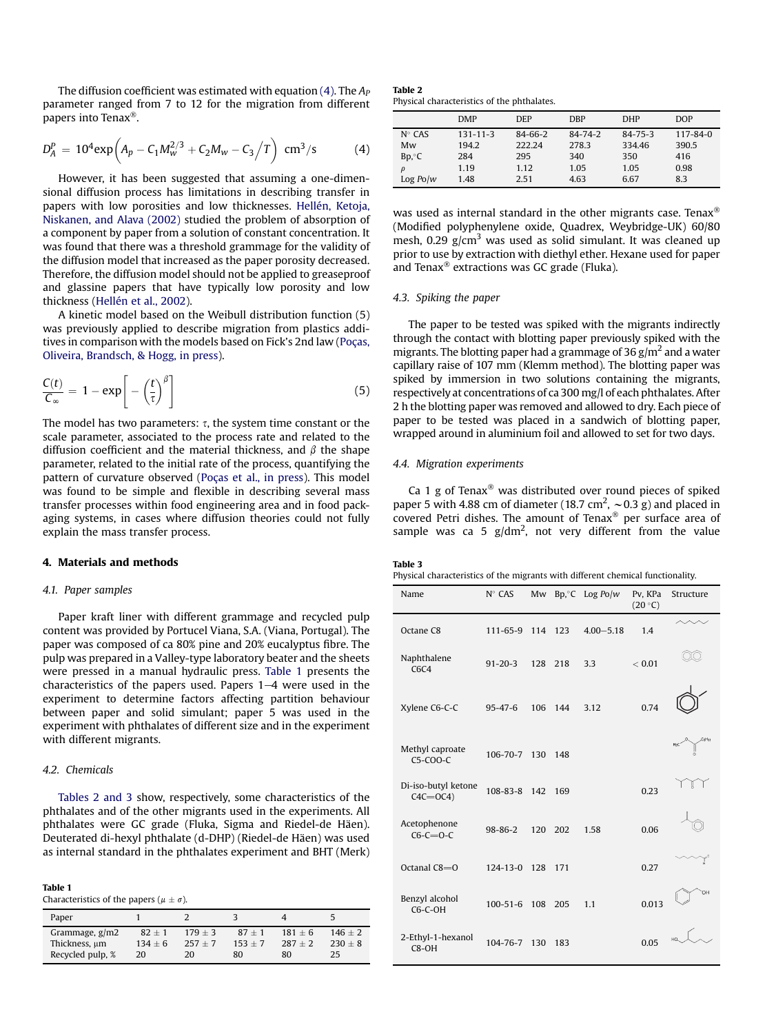<span id="page-3-0"></span>The diffusion coefficient was estimated with equation  $(4)$ . The  $A_P$ parameter ranged from 7 to 12 for the migration from different papers into Tenax<sup>®</sup>.

$$
D_A^P = 10^4 \exp \left( A_p - C_1 M_w^{2/3} + C_2 M_w - C_3 / T \right) \, \text{cm}^3/\text{s} \tag{4}
$$

However, it has been suggested that assuming a one-dimensional diffusion process has limitations in describing transfer in papers with low porosities and low thicknesses. [Hellén, Ketoja,](#page-9-0) [Niskanen, and Alava \(2002\)](#page-9-0) studied the problem of absorption of a component by paper from a solution of constant concentration. It was found that there was a threshold grammage for the validity of the diffusion model that increased as the paper porosity decreased. Therefore, the diffusion model should not be applied to greaseproof and glassine papers that have typically low porosity and low thickness ([Hellén et al., 2002\)](#page-9-0).

A kinetic model based on the Weibull distribution function (5) was previously applied to describe migration from plastics additives in comparison with the models based on Fick's 2nd law ([Poças,](#page-9-0) [Oliveira, Brandsch, & Hogg, in press](#page-9-0)).

$$
\frac{C(t)}{C_{\infty}} = 1 - \exp\left[-\left(\frac{t}{\tau}\right)^{\beta}\right]
$$
\n(5)

The model has two parameters:  $\tau$ , the system time constant or the scale parameter, associated to the process rate and related to the diffusion coefficient and the material thickness, and  $\beta$  the shape parameter, related to the initial rate of the process, quantifying the pattern of curvature observed [\(Poças et al., in press](#page-9-0)). This model was found to be simple and flexible in describing several mass transfer processes within food engineering area and in food packaging systems, in cases where diffusion theories could not fully explain the mass transfer process.

## 4. Materials and methods

#### 4.1. Paper samples

Paper kraft liner with different grammage and recycled pulp content was provided by Portucel Viana, S.A. (Viana, Portugal). The paper was composed of ca 80% pine and 20% eucalyptus fibre. The pulp was prepared in a Valley-type laboratory beater and the sheets were pressed in a manual hydraulic press. Table 1 presents the characteristics of the papers used. Papers  $1-4$  were used in the experiment to determine factors affecting partition behaviour between paper and solid simulant; paper 5 was used in the experiment with phthalates of different size and in the experiment with different migrants.

## 4.2. Chemicals

Tables 2 and 3 show, respectively, some characteristics of the phthalates and of the other migrants used in the experiments. All phthalates were GC grade (Fluka, Sigma and Riedel-de Häen). Deuterated di-hexyl phthalate (d-DHP) (Riedel-de Häen) was used as internal standard in the phthalates experiment and BHT (Merk)

| Table |  |
|-------|--|
|-------|--|

| Characteristics of the papers ( $\mu \pm \sigma$ ). |  |  |  |  |  |  |
|-----------------------------------------------------|--|--|--|--|--|--|
|-----------------------------------------------------|--|--|--|--|--|--|

| Paper                             |                       |                        |                       |                        |                        |
|-----------------------------------|-----------------------|------------------------|-----------------------|------------------------|------------------------|
| Grammage, $g/m2$<br>Thickness, um | $82 + 1$<br>$134 + 6$ | $179 + 3$<br>$257 + 7$ | $87 + 1$<br>$153 + 7$ | $181 + 6$<br>$287 + 2$ | $146 + 2$<br>$230 + 8$ |
| Recycled pulp, %                  | 20                    | 20                     | 80                    | 80                     | 25                     |

| Table 2 |                                             |  |
|---------|---------------------------------------------|--|
|         | Physical characteristics of the phthalates. |  |

 $T = T$ 

|                 | <b>DMP</b>     | <b>DEP</b>    | <b>DBP</b>    | <b>DHP</b>    | <b>DOP</b>     |
|-----------------|----------------|---------------|---------------|---------------|----------------|
| $N^{\circ}$ CAS | $131 - 11 - 3$ | $84 - 66 - 2$ | $84 - 74 - 2$ | $84 - 75 - 3$ | $117 - 84 - 0$ |
| Mw              | 194.2          | 222.24        | 278.3         | 334.46        | 390.5          |
| $Bp, ^{\circ}C$ | 284            | 295           | 340           | 350           | 416            |
| $\rho$          | 1.19           | 1.12          | 1.05          | 1.05          | 0.98           |
| Log Po/w        | 1.48           | 2.51          | 4.63          | 6.67          | 8.3            |

was used as internal standard in the other migrants case. Tenax® (Modified polyphenylene oxide, Quadrex, Weybridge-UK) 60/80 mesh, 0.29  $g/cm<sup>3</sup>$  was used as solid simulant. It was cleaned up prior to use by extraction with diethyl ether. Hexane used for paper and Tenax $^{\circledR}$  extractions was GC grade (Fluka).

#### 4.3. Spiking the paper

The paper to be tested was spiked with the migrants indirectly through the contact with blotting paper previously spiked with the migrants. The blotting paper had a grammage of  $36 \text{ g/m}^2$  and a water capillary raise of 107 mm (Klemm method). The blotting paper was spiked by immersion in two solutions containing the migrants, respectively at concentrations of ca 300 mg/l of each phthalates. After 2 h the blotting paper was removed and allowed to dry. Each piece of paper to be tested was placed in a sandwich of blotting paper, wrapped around in aluminium foil and allowed to set for two days.

#### 4.4. Migration experiments

Ca 1 g of Tenax $^{\circledR}$  was distributed over round pieces of spiked paper 5 with 4.88 cm of diameter (18.7 cm<sup>2</sup>,  $\sim$  0.3 g) and placed in covered Petri dishes. The amount of Tenax $^{\circledR}$  per surface area of sample was ca 5  $g/dm^2$ , not very different from the value

#### Table 3

| Physical characteristics of the migrants with different chemical functionality. |  |  |
|---------------------------------------------------------------------------------|--|--|
|                                                                                 |  |  |

| Name                             | $N^{\circ}$ CAS  |     |         | Mw Bp, °C Log $Po/w$ | Pv, KPa<br>(20 °C) | Structure |
|----------------------------------|------------------|-----|---------|----------------------|--------------------|-----------|
| Octane C8                        | 111-65-9 114 123 |     |         | $4.00 - 5.18$        | 1.4                |           |
| Naphthalene<br>C6C4              | $91 - 20 - 3$    | 128 | 218     | 3.3                  | < 0.01             |           |
| Xylene C6-C-C                    | $95 - 47 - 6$    |     | 106 144 | 3.12                 | 0.74               |           |
| Methyl caproate<br>$C5-COO-C$    | 106-70-7 130     |     | 148     |                      |                    |           |
| Di-iso-butyl ketone<br>$C4C=OC4$ | 108-83-8 142 169 |     |         |                      | 0.23               |           |
| Acetophenone<br>$C6-C=O-C$       | 98-86-2          |     | 120 202 | 1.58                 | 0.06               |           |
| Octanal C8=0                     | 124-13-0 128 171 |     |         |                      | 0.27               |           |
| Benzyl alcohol<br>$C6-C-OH$      | 100-51-6 108     |     | 205     | 1.1                  | 0.013              |           |
| 2-Ethyl-1-hexanol<br>$C8-OH$     | 104-76-7         | 130 | 183     |                      | 0.05               | HO.       |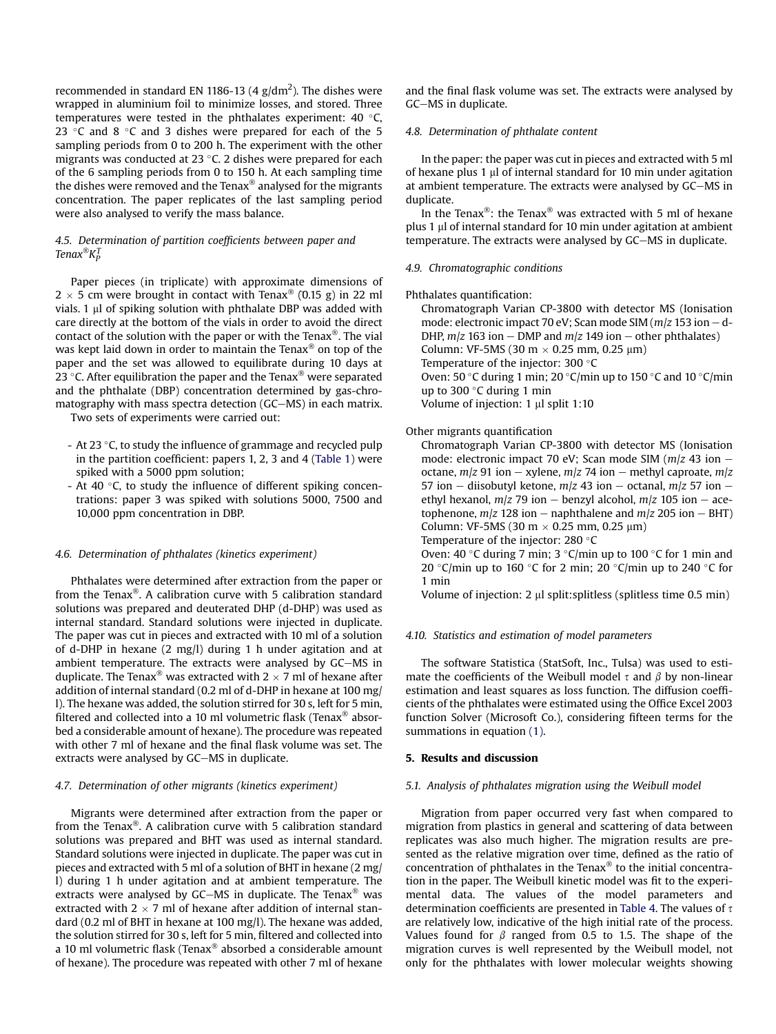recommended in standard EN 1186-13 (4  $\rm g/dm^2$ ). The dishes were wrapped in aluminium foil to minimize losses, and stored. Three temperatures were tested in the phthalates experiment:  $40^{\circ}$ C, 23  $\degree$ C and 8  $\degree$ C and 3 dishes were prepared for each of the 5 sampling periods from 0 to 200 h. The experiment with the other migrants was conducted at 23 $\degree$ C. 2 dishes were prepared for each of the 6 sampling periods from 0 to 150 h. At each sampling time the dishes were removed and the Tenax $^{\circledR}$  analysed for the migrants concentration. The paper replicates of the last sampling period were also analysed to verify the mass balance.

## 4.5. Determination of partition coefficients between paper and Tenax ${}^{\circledR}K_P^T$

Paper pieces (in triplicate) with approximate dimensions of  $2 \times 5$  cm were brought in contact with Tenax<sup>®</sup> (0.15 g) in 22 ml vials. 1  $\mu$ l of spiking solution with phthalate DBP was added with care directly at the bottom of the vials in order to avoid the direct contact of the solution with the paper or with the Tenax®. The vial was kept laid down in order to maintain the Tenax $^{\circledR}$  on top of the paper and the set was allowed to equilibrate during 10 days at 23 °C. After equilibration the paper and the Tenax<sup>®</sup> were separated and the phthalate (DBP) concentration determined by gas-chromatography with mass spectra detection (GC-MS) in each matrix.

Two sets of experiments were carried out:

- At 23  $\degree$ C, to study the influence of grammage and recycled pulp in the partition coefficient: papers 1, 2, 3 and 4 [\(Table 1](#page-3-0)) were spiked with a 5000 ppm solution;
- At 40 $\degree$ C, to study the influence of different spiking concentrations: paper 3 was spiked with solutions 5000, 7500 and 10,000 ppm concentration in DBP.

#### 4.6. Determination of phthalates (kinetics experiment)

Phthalates were determined after extraction from the paper or from the Tenax®. A calibration curve with 5 calibration standard solutions was prepared and deuterated DHP (d-DHP) was used as internal standard. Standard solutions were injected in duplicate. The paper was cut in pieces and extracted with 10 ml of a solution of d-DHP in hexane (2 mg/l) during 1 h under agitation and at ambient temperature. The extracts were analysed by GC-MS in duplicate. The Tenax<sup>®</sup> was extracted with 2  $\times$  7 ml of hexane after addition of internal standard (0.2 ml of d-DHP in hexane at 100 mg/ l). The hexane was added, the solution stirred for 30 s, left for 5 min, filtered and collected into a 10 ml volumetric flask (Tenax® absorbed a considerable amount of hexane). The procedure was repeated with other 7 ml of hexane and the final flask volume was set. The extracts were analysed by GC-MS in duplicate.

#### 4.7. Determination of other migrants (kinetics experiment)

Migrants were determined after extraction from the paper or from the Tenax®. A calibration curve with 5 calibration standard solutions was prepared and BHT was used as internal standard. Standard solutions were injected in duplicate. The paper was cut in pieces and extracted with 5 ml of a solution of BHT in hexane (2 mg/ l) during 1 h under agitation and at ambient temperature. The extracts were analysed by GC $-MS$  in duplicate. The Tenax<sup>®</sup> was extracted with  $2 \times 7$  ml of hexane after addition of internal standard (0.2 ml of BHT in hexane at 100 mg/l). The hexane was added, the solution stirred for 30 s, left for 5 min, filtered and collected into a 10 ml volumetric flask (Tenax $^{\circledR}$  absorbed a considerable amount of hexane). The procedure was repeated with other 7 ml of hexane

and the final flask volume was set. The extracts were analysed by GC-MS in duplicate.

## 4.8. Determination of phthalate content

In the paper: the paper was cut in pieces and extracted with 5 ml of hexane plus 1 µl of internal standard for 10 min under agitation at ambient temperature. The extracts were analysed by GC-MS in duplicate.

In the Tenax<sup>®</sup>: the Tenax<sup>®</sup> was extracted with 5 ml of hexane plus 1 µl of internal standard for 10 min under agitation at ambient temperature. The extracts were analysed by GC-MS in duplicate.

#### 4.9. Chromatographic conditions

Phthalates quantification:

Chromatograph Varian CP-3800 with detector MS (Ionisation mode: electronic impact 70 eV; Scan mode SIM ( $m/z$  153 ion  $-$  d-DHP,  $m/z$  163 ion – DMP and  $m/z$  149 ion – other phthalates) Column: VF-5MS (30 m  $\times$  0.25 mm, 0.25 µm) Temperature of the injector:  $300 °C$ Oven: 50 °C during 1 min; 20 °C/min up to 150 °C and 10 °C/min up to 300 $\degree$ C during 1 min Volume of injection:  $1 \mu l$  split  $1:10$ 

### Other migrants quantification

Chromatograph Varian CP-3800 with detector MS (Ionisation mode: electronic impact 70 eV; Scan mode SIM  $(m/z 43$  ion  $$ octane,  $m/z$  91 ion – xylene,  $m/z$  74 ion – methyl caproate,  $m/z$ 57 ion – diisobutyl ketone,  $m/z$  43 ion – octanal,  $m/z$  57 ion – ethyl hexanol,  $m/z$  79 ion – benzyl alcohol,  $m/z$  105 ion – acetophenone,  $m/z$  128 ion – naphthalene and  $m/z$  205 ion – BHT) Column: VF-5MS (30 m  $\times$  0.25 mm, 0.25 µm) Temperature of the injector:  $280 °C$ 

Oven: 40 °C during 7 min; 3 °C/min up to 100 °C for 1 min and 20 °C/min up to 160 °C for 2 min; 20 °C/min up to 240 °C for 1 min

Volume of injection:  $2 \mu l$  split:splitless (splitless time 0.5 min)

#### 4.10. Statistics and estimation of model parameters

The software Statistica (StatSoft, Inc., Tulsa) was used to estimate the coefficients of the Weibull model  $\tau$  and  $\beta$  by non-linear estimation and least squares as loss function. The diffusion coefficients of the phthalates were estimated using the Office Excel 2003 function Solver (Microsoft Co.), considering fifteen terms for the summations in equation [\(1\).](#page-2-0)

#### 5. Results and discussion

## 5.1. Analysis of phthalates migration using the Weibull model

Migration from paper occurred very fast when compared to migration from plastics in general and scattering of data between replicates was also much higher. The migration results are presented as the relative migration over time, defined as the ratio of concentration of phthalates in the Tenax $\mathscr P$  to the initial concentration in the paper. The Weibull kinetic model was fit to the experimental data. The values of the model parameters and determination coefficients are presented in [Table 4](#page-5-0). The values of  $\tau$ are relatively low, indicative of the high initial rate of the process. Values found for  $\beta$  ranged from 0.5 to 1.5. The shape of the migration curves is well represented by the Weibull model, not only for the phthalates with lower molecular weights showing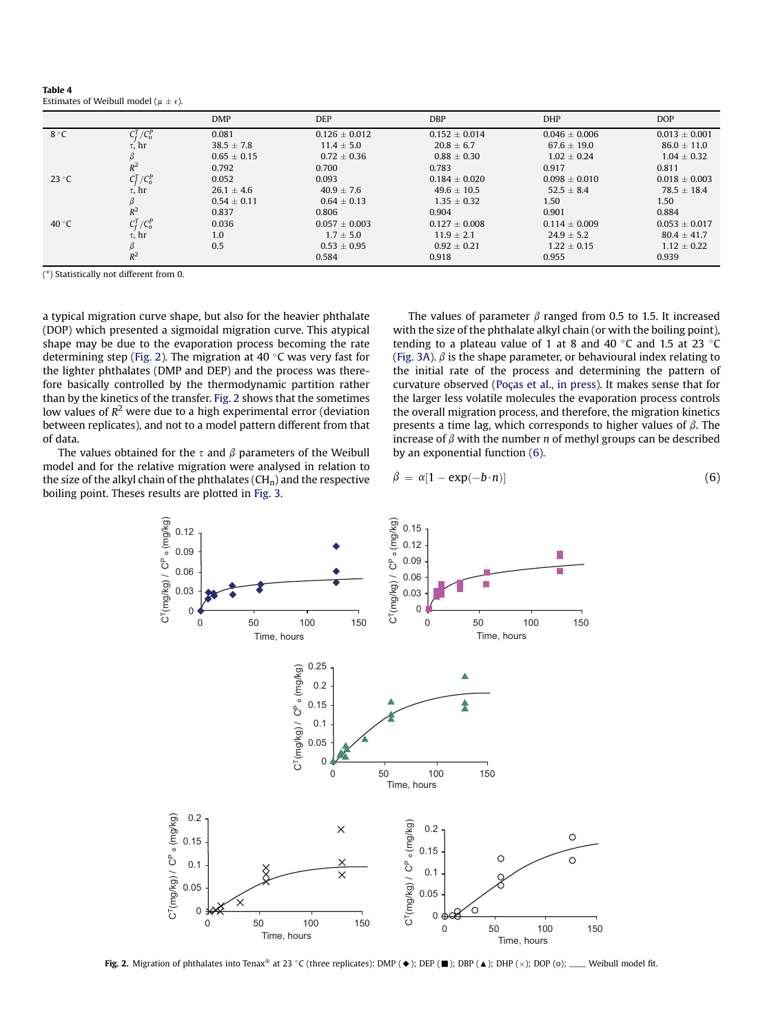| Table 4                                            |  |
|----------------------------------------------------|--|
| Estimates of Weibull model ( $\mu \pm \epsilon$ ). |  |

<span id="page-5-0"></span> $T = T$ 

|                |               | <b>DMP</b>      | <b>DEP</b>        | <b>DBP</b>        | <b>DHP</b>        | <b>DOP</b>        |
|----------------|---------------|-----------------|-------------------|-------------------|-------------------|-------------------|
| 8 °C           | $C_F^T/C_o^P$ | 0.081           | $0.126 \pm 0.012$ | $0.152 \pm 0.014$ | $0.046 + 0.006$   | $0.013 \pm 0.001$ |
|                | $\tau$ , hr   | $38.5 \pm 7.8$  | $11.4 \pm 5.0$    | $20.8 \pm 6.7$    | $67.6 \pm 19.0$   | $86.0 + 11.0$     |
|                |               | $0.65 \pm 0.15$ | $0.72 \pm 0.36$   | $0.88 \pm 0.30$   | $1.02 \pm 0.24$   | $1.04 \pm 0.32$   |
|                | $R^2$         | 0.792           | 0.700             | 0.783             | 0.917             | 0.811             |
| $23^{\circ}$ C | $C_f^T/C_o^P$ | 0.052           | 0.093             | $0.184 + 0.020$   | $0.098 + 0.010$   | $0.018 + 0.003$   |
|                | $\tau$ , hr   | $26.1 \pm 4.6$  | $40.9 \pm 7.6$    | $49.6 + 10.5$     | $52.5 \pm 8.4$    | $78.5 \pm 18.4$   |
|                |               | $0.54 \pm 0.11$ | $0.64 \pm 0.13$   | $1.35 \pm 0.32$   | 1.50              | 1.50              |
|                | $R^2$         | 0.837           | 0.806             | 0.904             | 0.901             | 0.884             |
| 40 $\degree$ C | $C_f^T/C_o^P$ | 0.036           | $0.057 + 0.003$   | $0.127 + 0.008$   | $0.114 \pm 0.009$ | $0.053 \pm 0.017$ |
|                | $\tau$ , hr   | 1.0             | $1.7 \pm 5.0$     | $11.9 \pm 2.1$    | $24.9 \pm 5.2$    | $80.4 \pm 41.7$   |
|                |               | 0.5             | $0.53 \pm 0.95$   | $0.92 \pm 0.21$   | $1.22 \pm 0.15$   | $1.12 \pm 0.22$   |
|                | $R^2$         |                 | 0.584             | 0.918             | 0.955             | 0.939             |

(\*) Statistically not different from 0.

a typical migration curve shape, but also for the heavier phthalate (DOP) which presented a sigmoidal migration curve. This atypical shape may be due to the evaporation process becoming the rate determining step (Fig. 2). The migration at 40  $\degree$ C was very fast for the lighter phthalates (DMP and DEP) and the process was therefore basically controlled by the thermodynamic partition rather than by the kinetics of the transfer. Fig. 2 shows that the sometimes low values of  $R^2$  were due to a high experimental error (deviation between replicates), and not to a model pattern different from that of data.

The values obtained for the  $\tau$  and  $\beta$  parameters of the Weibull model and for the relative migration were analysed in relation to the size of the alkyl chain of the phthalates  $(CH_n)$  and the respective boiling point. Theses results are plotted in [Fig. 3](#page-6-0).

The values of parameter  $\beta$  ranged from 0.5 to 1.5. It increased with the size of the phthalate alkyl chain (or with the boiling point), tending to a plateau value of 1 at 8 and 40  $\degree$ C and 1.5 at 23  $\degree$ C ([Fig. 3A](#page-6-0)).  $\beta$  is the shape parameter, or behavioural index relating to the initial rate of the process and determining the pattern of curvature observed ([Poças et al., in press\)](#page-9-0). It makes sense that for the larger less volatile molecules the evaporation process controls the overall migration process, and therefore, the migration kinetics presents a time lag, which corresponds to higher values of  $\beta$ . The increase of  $\beta$  with the number n of methyl groups can be described by an exponential function (6).

$$
\beta = \alpha [1 - \exp(-b \cdot n)] \tag{6}
$$



Fig. 2. Migration of phthalates into Tenax® at 23 °C (three replicates): DMP ( $\blacklozenge$ ); DEP ( $\blacktriangle$ ); DHP ( $\times$ ); DOP (o); \_\_\_\_ Weibull model fit.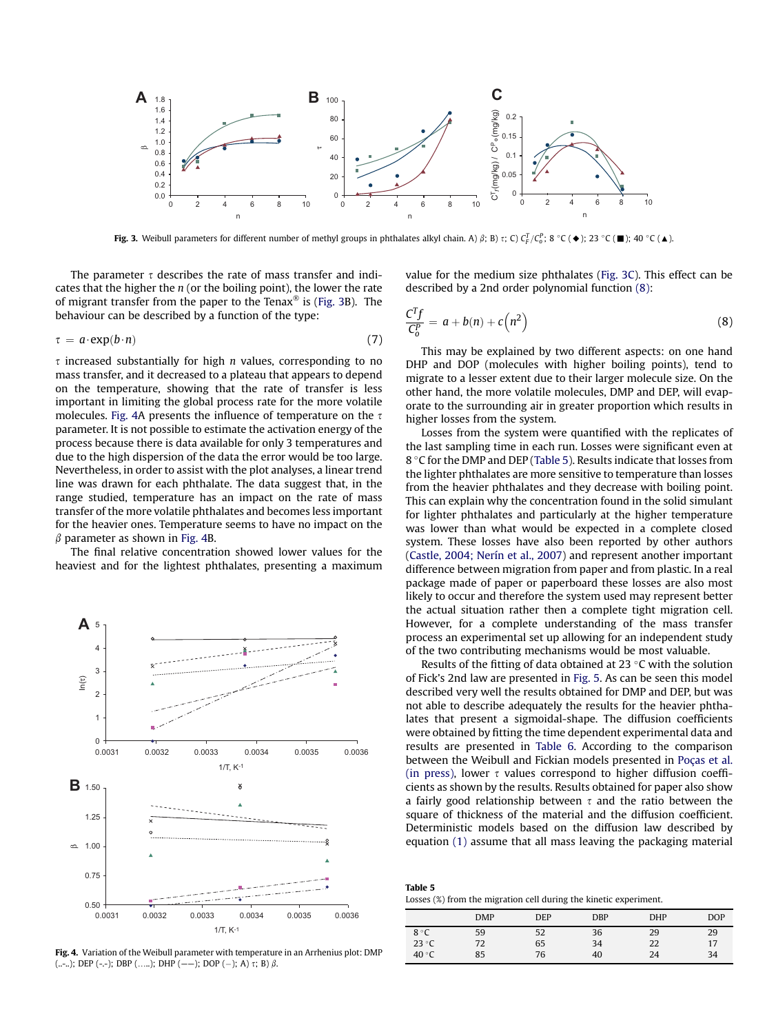<span id="page-6-0"></span>

**Fig. 3.** Weibull parameters for different number of methyl groups in phthalates alkyl chain. A)  $\beta$ ; B)  $\tau$ ; C)  $\zeta_F^T/C_o^B$ ; 8 °C ( $\blacklozenge$ ); 23 °C ( $\blacktriangleright$ ); 40 °C ( $\blacktriangle$ ).

The parameter  $\tau$  describes the rate of mass transfer and indicates that the higher the  $n$  (or the boiling point), the lower the rate of migrant transfer from the paper to the Tenax $\mathscr P$  is (Fig. 3B). The behaviour can be described by a function of the type:

$$
\tau = a \cdot \exp(b \cdot n) \tag{7}
$$

 $\tau$  increased substantially for high *n* values, corresponding to no mass transfer, and it decreased to a plateau that appears to depend on the temperature, showing that the rate of transfer is less important in limiting the global process rate for the more volatile molecules. Fig. 4A presents the influence of temperature on the  $\tau$ parameter. It is not possible to estimate the activation energy of the process because there is data available for only 3 temperatures and due to the high dispersion of the data the error would be too large. Nevertheless, in order to assist with the plot analyses, a linear trend line was drawn for each phthalate. The data suggest that, in the range studied, temperature has an impact on the rate of mass transfer of the more volatile phthalates and becomes less important for the heavier ones. Temperature seems to have no impact on the  $\beta$  parameter as shown in Fig. 4B.

The final relative concentration showed lower values for the heaviest and for the lightest phthalates, presenting a maximum



Fig. 4. Variation of the Weibull parameter with temperature in an Arrhenius plot: DMP (..-..); DEP (-.-); DBP (.....); DHP (---); DOP (-); A)  $\tau$ ; B)  $\beta$ .

value for the medium size phthalates (Fig. 3C). This effect can be described by a 2nd order polynomial function (8):

$$
\frac{C^T f}{C_o^P} = a + b(n) + c(n^2)
$$
\n(8)

This may be explained by two different aspects: on one hand DHP and DOP (molecules with higher boiling points), tend to migrate to a lesser extent due to their larger molecule size. On the other hand, the more volatile molecules, DMP and DEP, will evaporate to the surrounding air in greater proportion which results in higher losses from the system.

Losses from the system were quantified with the replicates of the last sampling time in each run. Losses were significant even at 8 °C for the DMP and DEP (Table 5). Results indicate that losses from the lighter phthalates are more sensitive to temperature than losses from the heavier phthalates and they decrease with boiling point. This can explain why the concentration found in the solid simulant for lighter phthalates and particularly at the higher temperature was lower than what would be expected in a complete closed system. These losses have also been reported by other authors ([Castle, 2004; Nerín et al., 2007\)](#page-9-0) and represent another important difference between migration from paper and from plastic. In a real package made of paper or paperboard these losses are also most likely to occur and therefore the system used may represent better the actual situation rather then a complete tight migration cell. However, for a complete understanding of the mass transfer process an experimental set up allowing for an independent study of the two contributing mechanisms would be most valuable.

Results of the fitting of data obtained at 23  $\degree$ C with the solution of Fick's 2nd law are presented in [Fig. 5](#page-7-0). As can be seen this model described very well the results obtained for DMP and DEP, but was not able to describe adequately the results for the heavier phthalates that present a sigmoidal-shape. The diffusion coefficients were obtained by fitting the time dependent experimental data and results are presented in [Table 6.](#page-7-0) According to the comparison between the Weibull and Fickian models presented in [Poças et al.](#page-9-0) [\(in press\)](#page-9-0), lower  $\tau$  values correspond to higher diffusion coefficients as shown by the results. Results obtained for paper also show a fairly good relationship between  $\tau$  and the ratio between the square of thickness of the material and the diffusion coefficient. Deterministic models based on the diffusion law described by equation [\(1\)](#page-2-0) assume that all mass leaving the packaging material

Table 5 Losses (%) from the migration cell during the kinetic experiment.

|                | <b>DMP</b> | DEP | <b>DBP</b> | <b>DHP</b> | DOP |
|----------------|------------|-----|------------|------------|-----|
| 8 °C           | 59         | 52  | 36         | 29         | 29  |
| 23 °C          | 72         | 65  | 34         | 22         | 17  |
| $40^{\circ}$ C | 85         | 76  | 40         | 24         | 34  |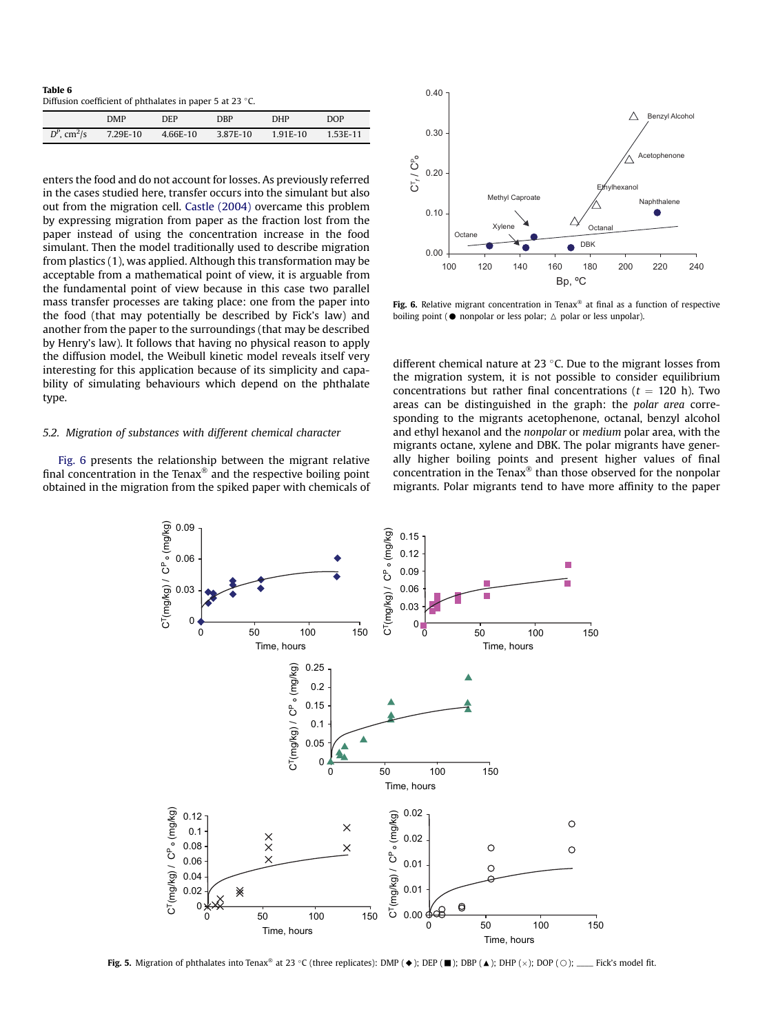| Tavic v |                                                                      |  |
|---------|----------------------------------------------------------------------|--|
|         | Diffusion coefficient of phthalates in paper 5 at 23 $\,^{\circ}$ C. |  |

<span id="page-7-0"></span>Table 6

| <b>DMP</b>                          | DEP      | <b>DBP</b> | <b>DHP</b> | <b>DOP</b> |
|-------------------------------------|----------|------------|------------|------------|
| $D^P$ , cm <sup>2</sup> /s 7.29E-10 | 4.66E-10 | 3.87E-10   | 1.91E-10   | 1.53E-11   |

enters the food and do not account for losses. As previously referred in the cases studied here, transfer occurs into the simulant but also out from the migration cell. [Castle \(2004\)](#page-9-0) overcame this problem by expressing migration from paper as the fraction lost from the paper instead of using the concentration increase in the food simulant. Then the model traditionally used to describe migration from plastics (1), was applied. Although this transformation may be acceptable from a mathematical point of view, it is arguable from the fundamental point of view because in this case two parallel mass transfer processes are taking place: one from the paper into the food (that may potentially be described by Fick's law) and another from the paper to the surroundings (that may be described by Henry's law). It follows that having no physical reason to apply the diffusion model, the Weibull kinetic model reveals itself very interesting for this application because of its simplicity and capability of simulating behaviours which depend on the phthalate type.

## 5.2. Migration of substances with different chemical character

Fig. 6 presents the relationship between the migrant relative final concentration in the Tenax $\mathscr P$  and the respective boiling point obtained in the migration from the spiked paper with chemicals of



Fig. 6. Relative migrant concentration in Tenax® at final as a function of respective boiling point ( $\bullet$  nonpolar or less polar;  $\triangle$  polar or less unpolar).

different chemical nature at 23 $\degree$ C. Due to the migrant losses from the migration system, it is not possible to consider equilibrium concentrations but rather final concentrations ( $t = 120$  h). Two areas can be distinguished in the graph: the polar area corresponding to the migrants acetophenone, octanal, benzyl alcohol and ethyl hexanol and the nonpolar or medium polar area, with the migrants octane, xylene and DBK. The polar migrants have generally higher boiling points and present higher values of final concentration in the Tenax $\mathscr P$  than those observed for the nonpolar migrants. Polar migrants tend to have more affinity to the paper



Fig. 5. Migration of phthalates into Tenax<sup>®</sup> at 23 °C (three replicates): DMP ( $\blacklozenge$ ); DEP ( $\blacktriangle$ ); DHP ( $\times$ ); DOP ( $\bigcirc$ ); \_\_\_ Fick's model fit.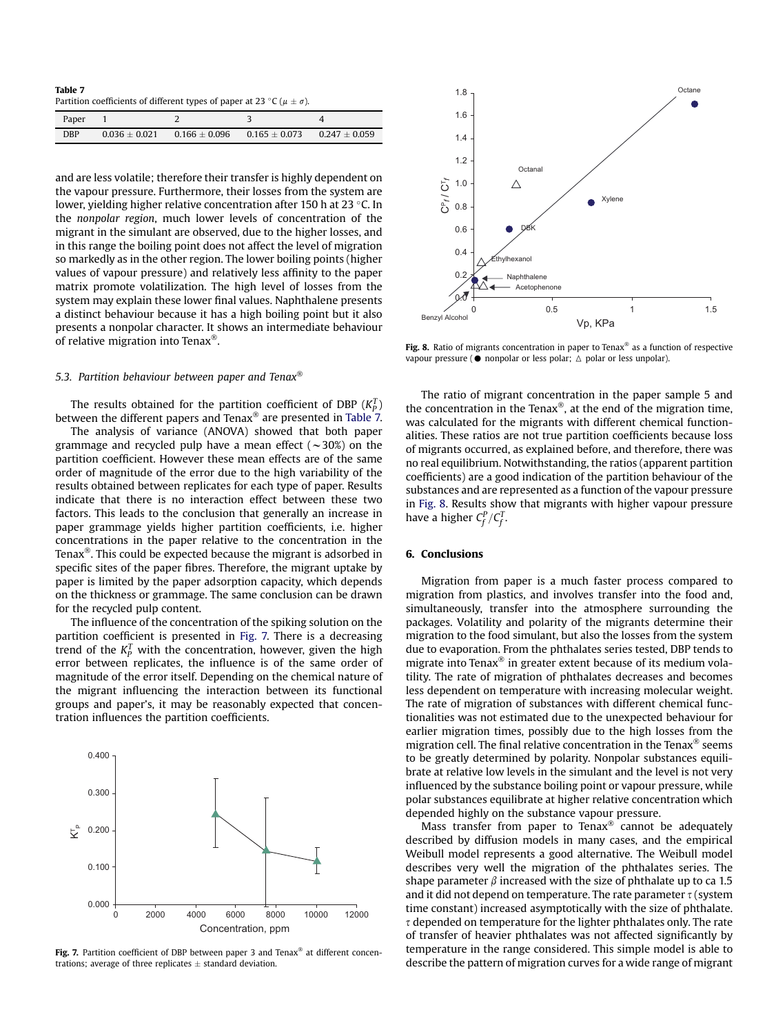Table 7 Partition coefficients of different types of paper at 23 °C ( $\mu \pm \sigma$ ).

| Paper      |                 |                 |                 |                 |
|------------|-----------------|-----------------|-----------------|-----------------|
| <b>DBP</b> | $0.036 + 0.021$ | $0.166 + 0.096$ | $0.165 + 0.073$ | $0.247 + 0.059$ |

and are less volatile; therefore their transfer is highly dependent on the vapour pressure. Furthermore, their losses from the system are lower, yielding higher relative concentration after 150 h at 23 $\,^{\circ}$ C. In the nonpolar region, much lower levels of concentration of the migrant in the simulant are observed, due to the higher losses, and in this range the boiling point does not affect the level of migration so markedly as in the other region. The lower boiling points (higher values of vapour pressure) and relatively less affinity to the paper matrix promote volatilization. The high level of losses from the system may explain these lower final values. Naphthalene presents a distinct behaviour because it has a high boiling point but it also presents a nonpolar character. It shows an intermediate behaviour of relative migration into Tenax<sup>®</sup>.

## 5.3. Partition behaviour between paper and Tenax®

The results obtained for the partition coefficient of DBP  $(K_P^T)$ between the different papers and Tenax $^{\circledR}$  are presented in Table 7.

The analysis of variance (ANOVA) showed that both paper grammage and recycled pulp have a mean effect ( $\sim$ 30%) on the partition coefficient. However these mean effects are of the same order of magnitude of the error due to the high variability of the results obtained between replicates for each type of paper. Results indicate that there is no interaction effect between these two factors. This leads to the conclusion that generally an increase in paper grammage yields higher partition coefficients, i.e. higher concentrations in the paper relative to the concentration in the Tenax<sup>®</sup>. This could be expected because the migrant is adsorbed in specific sites of the paper fibres. Therefore, the migrant uptake by paper is limited by the paper adsorption capacity, which depends on the thickness or grammage. The same conclusion can be drawn for the recycled pulp content.

The influence of the concentration of the spiking solution on the partition coefficient is presented in Fig. 7. There is a decreasing trend of the  $K_P^T$  with the concentration, however, given the high error between replicates, the influence is of the same order of magnitude of the error itself. Depending on the chemical nature of the migrant influencing the interaction between its functional groups and paper's, it may be reasonably expected that concentration influences the partition coefficients.



Fig. 7. Partition coefficient of DBP between paper 3 and Tenax<sup>®</sup> at different concentrations; average of three replicates  $\pm$  standard deviation.



Fig. 8. Ratio of migrants concentration in paper to Tenax<sup>®</sup> as a function of respective vapour pressure ( $\bullet$  nonpolar or less polar;  $\triangle$  polar or less unpolar).

The ratio of migrant concentration in the paper sample 5 and the concentration in the Tenax®, at the end of the migration time, was calculated for the migrants with different chemical functionalities. These ratios are not true partition coefficients because loss of migrants occurred, as explained before, and therefore, there was no real equilibrium. Notwithstanding, the ratios (apparent partition coefficients) are a good indication of the partition behaviour of the substances and are represented as a function of the vapour pressure in Fig. 8. Results show that migrants with higher vapour pressure have a higher  $C_f^P/C_f^T$ .

#### 6. Conclusions

Migration from paper is a much faster process compared to migration from plastics, and involves transfer into the food and, simultaneously, transfer into the atmosphere surrounding the packages. Volatility and polarity of the migrants determine their migration to the food simulant, but also the losses from the system due to evaporation. From the phthalates series tested, DBP tends to migrate into Tenax $\mathscr P$  in greater extent because of its medium volatility. The rate of migration of phthalates decreases and becomes less dependent on temperature with increasing molecular weight. The rate of migration of substances with different chemical functionalities was not estimated due to the unexpected behaviour for earlier migration times, possibly due to the high losses from the migration cell. The final relative concentration in the Tenax $^{\circledR}$  seems to be greatly determined by polarity. Nonpolar substances equilibrate at relative low levels in the simulant and the level is not very influenced by the substance boiling point or vapour pressure, while polar substances equilibrate at higher relative concentration which depended highly on the substance vapour pressure.

Mass transfer from paper to Tenax $^{\circledast}$  cannot be adequately described by diffusion models in many cases, and the empirical Weibull model represents a good alternative. The Weibull model describes very well the migration of the phthalates series. The shape parameter  $\beta$  increased with the size of phthalate up to ca 1.5 and it did not depend on temperature. The rate parameter  $\tau$  (system time constant) increased asymptotically with the size of phthalate.  $\tau$  depended on temperature for the lighter phthalates only. The rate of transfer of heavier phthalates was not affected significantly by temperature in the range considered. This simple model is able to describe the pattern of migration curves for a wide range of migrant